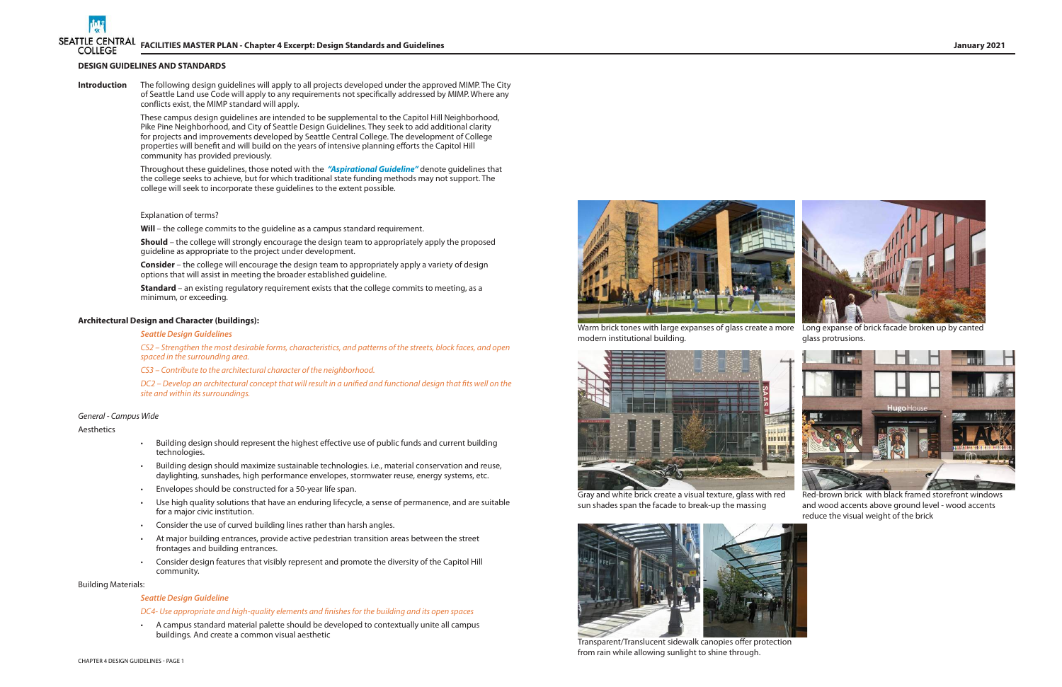







Warm brick tones with large expanses of glass create a more Long expanse of brick facade broken up by canted modern institutional building.



Gray and white brick create a visual texture, glass with red sun shades span the facade to break-up the massing

Red-brown brick with black framed storefront windows and wood accents above ground level - wood accents reduce the visual weight of the brick



Transparent/Translucent sidewalk canopies offer protection from rain while allowing sunlight to shine through.



glass protrusions.

### **DESIGN GUIDELINES AND STANDARDS**

**Introduction** The following design guidelines will apply to all projects developed under the approved MIMP. The City of Seattle Land use Code will apply to any requirements not specifically addressed by MIMP. Where any conflicts exist, the MIMP standard will apply.

> **Standard** – an existing regulatory requirement exists that the college commits to meeting, as a minimum, or exceeding.

These campus design guidelines are intended to be supplemental to the Capitol Hill Neighborhood, Pike Pine Neighborhood, and City of Seattle Design Guidelines. They seek to add additional clarity for projects and improvements developed by Seattle Central College. The development of College properties will benefit and will build on the years of intensive planning efforts the Capitol Hill community has provided previously.

Throughout these guidelines, those noted with the *"Aspirational Guideline"* denote guidelines that the college seeks to achieve, but for which traditional state funding methods may not support. The college will seek to incorporate these guidelines to the extent possible.

### Explanation of terms?

Will - the college commits to the guideline as a campus standard requirement.

**Should** – the college will strongly encourage the design team to appropriately apply the proposed guideline as appropriate to the project under development.

**Consider** – the college will encourage the design team to appropriately apply a variety of design options that will assist in meeting the broader established guideline.

### **Architectural Design and Character (buildings):**

### *Seattle Design Guidelines*

*CS2 – Strengthen the most desirable forms, characteristics, and patterns of the streets, block faces, and open spaced in the surrounding area.* 

*CS3 – Contribute to the architectural character of the neighborhood.* 

*DC2 – Develop an architectural concept that will result in a unified and functional design that fits well on the site and within its surroundings.* 

### *General - Campus Wide*

### Aesthetics

- Building design should represent the highest effective use of public funds and current building technologies.
- Building design should maximize sustainable technologies. i.e., material conservation and reuse, daylighting, sunshades, high performance envelopes, stormwater reuse, energy systems, etc.
- Envelopes should be constructed for a 50-year life span.
- Use high quality solutions that have an enduring lifecycle, a sense of permanence, and are suitable for a major civic institution.
- Consider the use of curved building lines rather than harsh angles.
- At major building entrances, provide active pedestrian transition areas between the street frontages and building entrances.
- Consider design features that visibly represent and promote the diversity of the Capitol Hill community.

### Building Materials:

### *Seattle Design Guideline*

### *DC4- Use appropriate and high-quality elements and finishes for the building and its open spaces*

• A campus standard material palette should be developed to contextually unite all campus buildings. And create a common visual aesthetic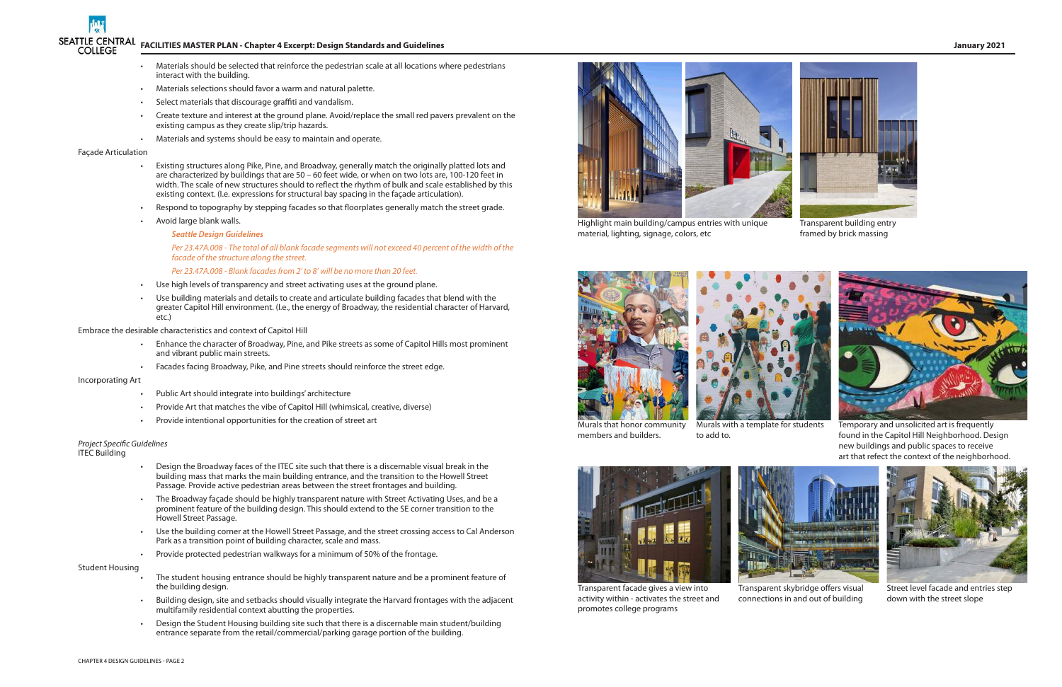# SEATTLE CENTRAL FACILITIES MASTER PLAN - Chapter 4 Excerpt: Design Standards and Guidelines January 2021<br>COLLEGE **The COLLEGE**



Highlight main building/campus entries with unique material, lighting, signage, colors, etc





Transparent building entry framed by brick massing

- Materials should be selected that reinforce the pedestrian scale at all locations where pedestrians interact with the building.
- Materials selections should favor a warm and natural palette.
- Select materials that discourage graffiti and vandalism.
- Create texture and interest at the ground plane. Avoid/replace the small red pavers prevalent on the existing campus as they create slip/trip hazards.
- Materials and systems should be easy to maintain and operate.

### Façade Articulation

- Existing structures along Pike, Pine, and Broadway, generally match the originally platted lots and are characterized by buildings that are 50 – 60 feet wide, or when on two lots are, 100-120 feet in width. The scale of new structures should to reflect the rhythm of bulk and scale established by this existing context. (I.e. expressions for structural bay spacing in the façade articulation).
- Respond to topography by stepping facades so that floorplates generally match the street grade.
- Avoid large blank walls.

- Public Art should integrate into buildings' architecture
- Provide Art that matches the vibe of Capitol Hill (whimsical, creative, diverse)
- Provide intentional opportunities for the creation of street art

### *Seattle Design Guidelines*

*Per 23.47A.008 - The total of all blank facade segments will not exceed 40 percent of the width of the facade of the structure along the street.* 

*Per 23.47A.008 - Blank facades from 2' to 8' will be no more than 20 feet.*

- Use high levels of transparency and street activating uses at the ground plane.
- Use building materials and details to create and articulate building facades that blend with the greater Capitol Hill environment. (I.e., the energy of Broadway, the residential character of Harvard, etc.)

Embrace the desirable characteristics and context of Capitol Hill

- Enhance the character of Broadway, Pine, and Pike streets as some of Capitol Hills most prominent and vibrant public main streets.
- Facades facing Broadway, Pike, and Pine streets should reinforce the street edge.

### Incorporating Art

### *Project Specific Guidelines* ITEC Building

- 
- Design the Broadway faces of the ITEC site such that there is a discernable visual break in the building mass that marks the main building entrance, and the transition to the Howell Street Passage. Provide active pedestrian areas between the street frontages and building.
- The Broadway façade should be highly transparent nature with Street Activating Uses, and be a prominent feature of the building design. This should extend to the SE corner transition to the Howell Street Passage.
- Use the building corner at the Howell Street Passage, and the street crossing access to Cal Anderson Park as a transition point of building character, scale and mass.
- Provide protected pedestrian walkways for a minimum of 50% of the frontage.

### Student Housing

- The student housing entrance should be highly transparent nature and be a prominent feature of the building design.
- Building design, site and setbacks should visually integrate the Harvard frontages with the adjacent multifamily residential context abutting the properties.
- Design the Student Housing building site such that there is a discernable main student/building entrance separate from the retail/commercial/parking garage portion of the building.

Murals that honor community members and builders.



Transparent facade gives a view into activity within - activates the street and promotes college programs

Transparent skybridge offers visual connections in and out of building



Street level facade and entries step down with the street slope

Murals with a template for students to add to.



Temporary and unsolicited art is frequently found in the Capitol Hill Neighborhood. Design new buildings and public spaces to receive art that refect the context of the neighborhood.

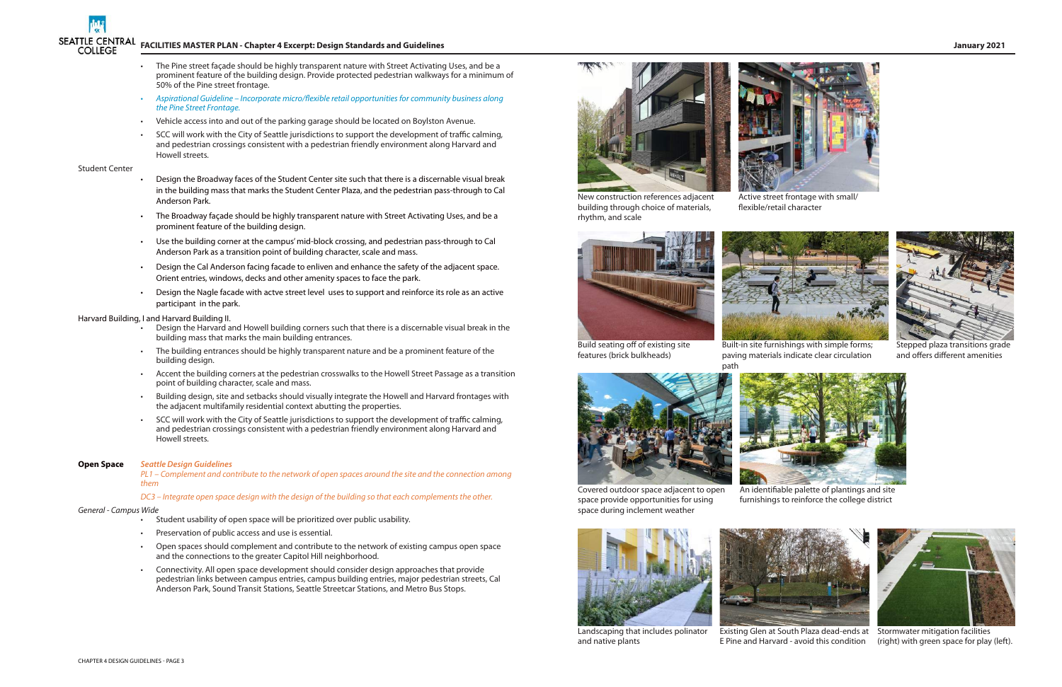Landscaping that includes polinator and native plants



An identifiable palette of plantings and site furnishings to reinforce the college district



Stepped plaza transitions grade and offers different amenities

# SEATTLE CENTRAL FACILITIES MASTER PLAN - Chapter 4 Excerpt: Design Standards and Guidelines January 2021<br>COLLEGE **The COLLEGE**

- The Pine street façade should be highly transparent nature with Street Activating Uses, and be a prominent feature of the building design. Provide protected pedestrian walkways for a minimum of 50% of the Pine street frontage.
- *• Aspirational Guideline Incorporate micro/flexible retail opportunities for community business along the Pine Street Frontage.*
- Vehicle access into and out of the parking garage should be located on Boylston Avenue.
- SCC will work with the City of Seattle jurisdictions to support the development of traffic calming, and pedestrian crossings consistent with a pedestrian friendly environment along Harvard and Howell streets.

### Student Center

- Design the Broadway faces of the Student Center site such that there is a discernable visual break in the building mass that marks the Student Center Plaza, and the pedestrian pass-through to Cal Anderson Park.
- The Broadway façade should be highly transparent nature with Street Activating Uses, and be a prominent feature of the building design.
- Use the building corner at the campus' mid-block crossing, and pedestrian pass-through to Cal Anderson Park as a transition point of building character, scale and mass.
- Design the Cal Anderson facing facade to enliven and enhance the safety of the adjacent space. Orient entries, windows, decks and other amenity spaces to face the park.
- Design the Nagle facade with actve street level uses to support and reinforce its role as an active participant in the park.

Build seating off of existing site features (brick bulkheads)



Covered outdoor space adjacent to open space provide opportunities for using space during inclement weather



### Harvard Building, I and Harvard Building II.

- Design the Harvard and Howell building corners such that there is a discernable visual break in the building mass that marks the main building entrances.
- The building entrances should be highly transparent nature and be a prominent feature of the building design.
- Accent the building corners at the pedestrian crosswalks to the Howell Street Passage as a transition point of building character, scale and mass.
- Building design, site and setbacks should visually integrate the Howell and Harvard frontages with the adjacent multifamily residential context abutting the properties.
- SCC will work with the City of Seattle jurisdictions to support the development of traffic calming, and pedestrian crossings consistent with a pedestrian friendly environment along Harvard and Howell streets.

### **Open Space** *Seattle Design Guidelines*

*PL1 – Complement and contribute to the network of open spaces around the site and the connection among them* 

*DC3 – Integrate open space design with the design of the building so that each complements the other.* 

### *General - Campus Wide*

- Student usability of open space will be prioritized over public usability.
- Preservation of public access and use is essential.
- Open spaces should complement and contribute to the network of existing campus open space and the connections to the greater Capitol Hill neighborhood.
- Connectivity. All open space development should consider design approaches that provide pedestrian links between campus entries, campus building entries, major pedestrian streets, Cal Anderson Park, Sound Transit Stations, Seattle Streetcar Stations, and Metro Bus Stops.





New construction references adjacent building through choice of materials, rhythm, and scale





E Pine and Harvard - avoid this condition

Active street frontage with small/ flexible/retail character



Built-in site furnishings with simple forms; paving materials indicate clear circulation



Existing Glen at South Plaza dead-ends at Stormwater mitigation facilities (right) with green space for play (left).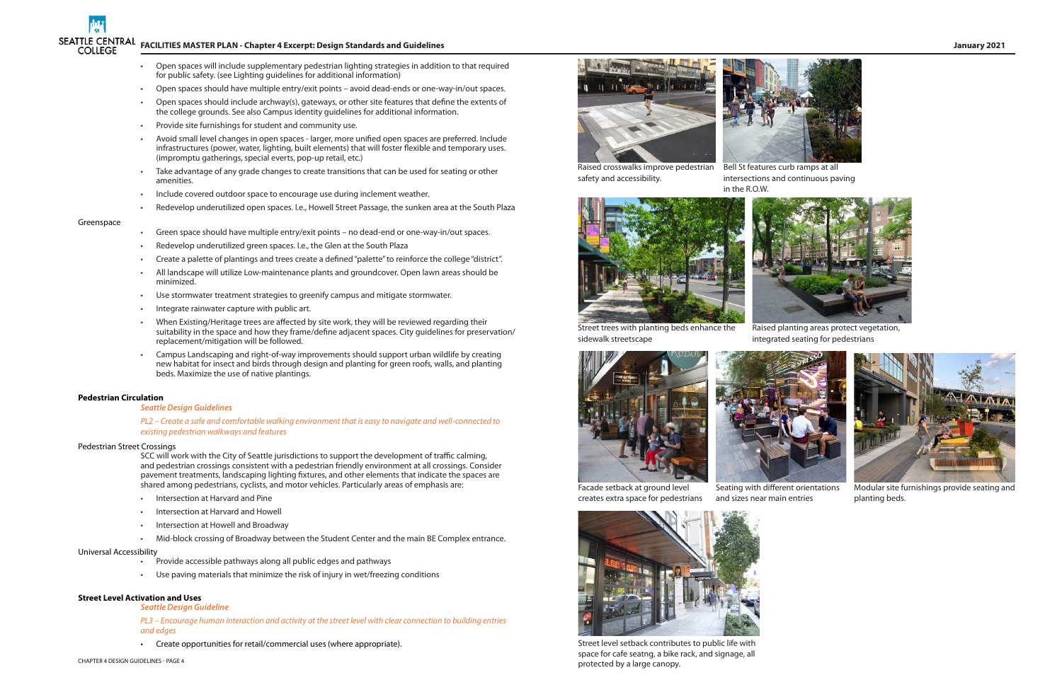## **FACILITIES MASTER PLAN - Chapter 4 Excerpt: Design Standards and Guidelines January 2021**

- Open spaces will include supplementary pedestrian lighting strategies in addition to that required for public safety. (see Lighting guidelines for additional information)
- Open spaces should have multiple entry/exit points avoid dead-ends or one-way-in/out spaces.
- Open spaces should include archway(s), gateways, or other site features that define the extents of the college grounds. See also Campus identity guidelines for additional information.
- Provide site furnishings for student and community use.
- Avoid small level changes in open spaces larger, more unified open spaces are preferred. Include infrastructures (power, water, lighting, built elements) that will foster flexible and temporary uses. (impromptu gatherings, special everts, pop-up retail, etc.)
- Take advantage of any grade changes to create transitions that can be used for seating or other amenities.
- Include covered outdoor space to encourage use during inclement weather.
- Redevelop underutilized open spaces. I.e., Howell Street Passage, the sunken area at the South Plaza

### Greenspace

- Green space should have multiple entry/exit points no dead-end or one-way-in/out spaces.
- Redevelop underutilized green spaces. I.e., the Glen at the South Plaza
- Create a palette of plantings and trees create a defined "palette" to reinforce the college "district".
- All landscape will utilize Low-maintenance plants and groundcover. Open lawn areas should be minimized.
- Use stormwater treatment strategies to greenify campus and mitigate stormwater.
- Integrate rainwater capture with public art.
- When Existing/Heritage trees are affected by site work, they will be reviewed regarding their suitability in the space and how they frame/define adjacent spaces. City guidelines for preservation/ replacement/mitigation will be followed.
- Campus Landscaping and right-of-way improvements should support urban wildlife by creating new habitat for insect and birds through design and planting for green roofs, walls, and planting beds. Maximize the use of native plantings.

### **Pedestrian Circulation**

### *Seattle Design Guidelines*

*PL2 – Create a safe and comfortable walking environment that is easy to navigate and well-connected to existing pedestrian walkways and features*

### Pedestrian Street Crossings

SCC will work with the City of Seattle jurisdictions to support the development of traffic calming, and pedestrian crossings consistent with a pedestrian friendly environment at all crossings. Consider pavement treatments, landscaping lighting fixtures, and other elements that indicate the spaces are shared among pedestrians, cyclists, and motor vehicles. Particularly areas of emphasis are:

- Intersection at Harvard and Pine
- Intersection at Harvard and Howell
- Intersection at Howell and Broadway
- Mid-block crossing of Broadway between the Student Center and the main BE Complex entrance.

### Universal Accessibility

- Provide accessible pathways along all public edges and pathways
- Use paving materials that minimize the risk of injury in wet/freezing conditions

### **Street Level Activation and Uses**

### *Seattle Design Guideline*

*PL3 – Encourage human interaction and activity at the street level with clear connection to building entries and edges* 

• Create opportunities for retail/commercial uses (where appropriate).



Raised crosswalks improve pedestrian Bell St features curb ramps at all safety and accessibility.

intersections and continuous paving in the R.O.W.





Street trees with planting beds enhance the sidewalk streetscape

Raised planting areas protect vegetation, integrated seating for pedestrians





Facade setback at ground level creates extra space for pedestrians

and sizes near main entries

Seating with different orientations



Modular site furnishings provide seating and planting beds.



Street level setback contributes to public life with space for cafe seatng, a bike rack, and signage, all protected by a large canopy.

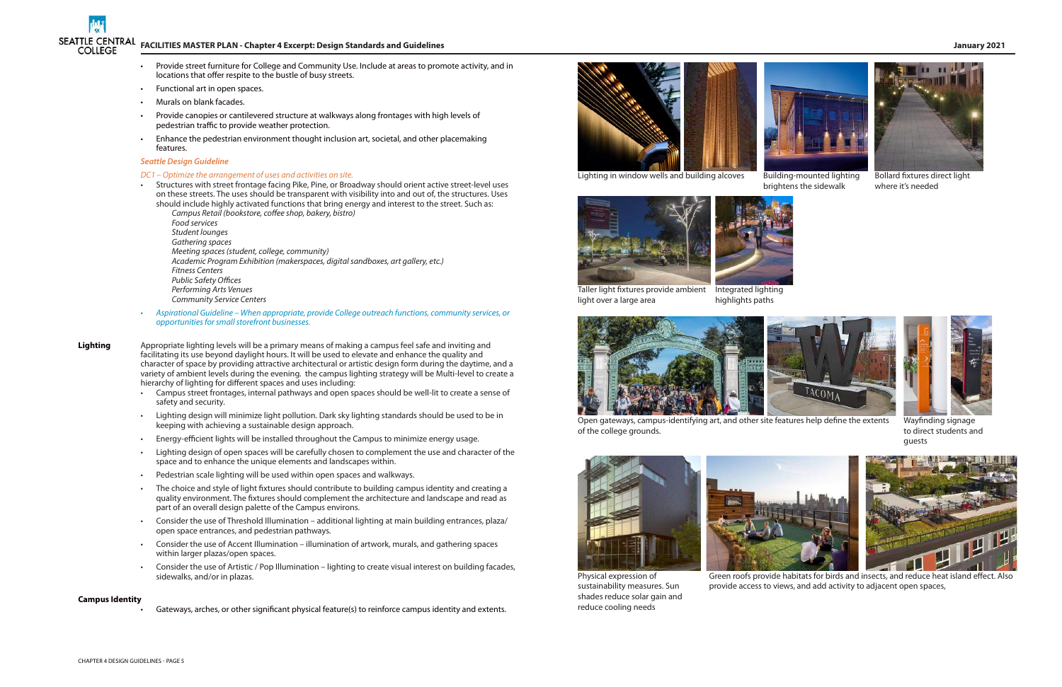CHAPTER 4 DESIGN GUIDELINES - PAGE 5



- 
- Provide street furniture for College and Community Use. Include at areas to promote activity, and in locations that offer respite to the bustle of busy streets.
- Functional art in open spaces.
- Murals on blank facades.
- Provide canopies or cantilevered structure at walkways along frontages with high levels of pedestrian traffic to provide weather protection.
- Enhance the pedestrian environment thought inclusion art, societal, and other placemaking features.

### *Seattle Design Guideline*

### *DC1 – Optimize the arrangement of uses and activities on site.*

- Structures with street frontage facing Pike, Pine, or Broadway should orient active street-level uses on these streets. The uses should be transparent with visibility into and out of, the structures. Uses should include highly activated functions that bring energy and interest to the street. Such as:
	- *Campus Retail (bookstore, coffee shop, bakery, bistro) Food services Student lounges Gathering spaces Meeting spaces (student, college, community) Academic Program Exhibition (makerspaces, digital sandboxes, art gallery, etc.) Fitness Centers Public Safety Offices Performing Arts Venues Community Service Centers*
- *• Aspirational Guideline When appropriate, provide College outreach functions, community services, or opportunities for small storefront businesses.*
- **Lighting** Appropriate lighting levels will be a primary means of making a campus feel safe and inviting and facilitating its use beyond daylight hours. It will be used to elevate and enhance the quality and character of space by providing attractive architectural or artistic design form during the daytime, and a variety of ambient levels during the evening. the campus lighting strategy will be Multi-level to create a hierarchy of lighting for different spaces and uses including:
	- Campus street frontages, internal pathways and open spaces should be well-lit to create a sense of safety and security.
	- Lighting design will minimize light pollution. Dark sky lighting standards should be used to be in keeping with achieving a sustainable design approach.
	- Energy-efficient lights will be installed throughout the Campus to minimize energy usage.
	- Lighting design of open spaces will be carefully chosen to complement the use and character of the space and to enhance the unique elements and landscapes within.
	- Pedestrian scale lighting will be used within open spaces and walkways.
	- The choice and style of light fixtures should contribute to building campus identity and creating a quality environment. The fixtures should complement the architecture and landscape and read as part of an overall design palette of the Campus environs.
	- Consider the use of Threshold Illumination additional lighting at main building entrances, plaza/ open space entrances, and pedestrian pathways.
	- Consider the use of Accent Illumination illumination of artwork, murals, and gathering spaces within larger plazas/open spaces.
	- Consider the use of Artistic / Pop Illumination lighting to create visual interest on building facades, sidewalks, and/or in plazas.

### **Campus Identity**

• Gateways, arches, or other significant physical feature(s) to reinforce campus identity and extents.



Lighting in window wells and building alcoves



highlights paths



Open gateways, campus-identifying art, and other site features help define the extents of the college grounds.





Taller light fixtures provide ambient Integrated lighting light over a large area





Bollard fixtures direct light where it's needed



Wayfinding signage to direct students and guests



Green roofs provide habitats for birds and insects, and reduce heat island effect. Also provide access to views, and add activity to adjacent open spaces,



Physical expression of sustainability measures. Sun shades reduce solar gain and reduce cooling needs